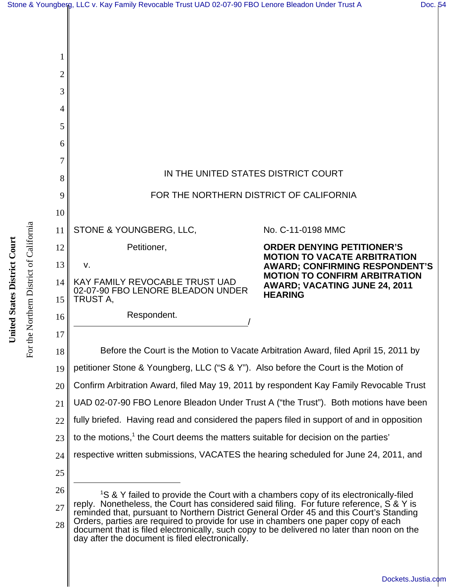| 1              |                                                                                                                                                                                                                                                                                        |                                                                              |
|----------------|----------------------------------------------------------------------------------------------------------------------------------------------------------------------------------------------------------------------------------------------------------------------------------------|------------------------------------------------------------------------------|
| $\overline{2}$ |                                                                                                                                                                                                                                                                                        |                                                                              |
| 3              |                                                                                                                                                                                                                                                                                        |                                                                              |
| 4              |                                                                                                                                                                                                                                                                                        |                                                                              |
| 5              |                                                                                                                                                                                                                                                                                        |                                                                              |
| 6              |                                                                                                                                                                                                                                                                                        |                                                                              |
| 7              |                                                                                                                                                                                                                                                                                        |                                                                              |
| 8              | IN THE UNITED STATES DISTRICT COURT                                                                                                                                                                                                                                                    |                                                                              |
| 9              | FOR THE NORTHERN DISTRICT OF CALIFORNIA                                                                                                                                                                                                                                                |                                                                              |
| 10             |                                                                                                                                                                                                                                                                                        |                                                                              |
| 11             | STONE & YOUNGBERG, LLC,                                                                                                                                                                                                                                                                | No. C-11-0198 MMC                                                            |
| 12             | Petitioner,                                                                                                                                                                                                                                                                            | <b>ORDER DENYING PETITIONER'S</b>                                            |
| 13             | v.                                                                                                                                                                                                                                                                                     | <b>MOTION TO VACATE ARBITRATION</b><br><b>AWARD; CONFIRMING RESPONDENT'S</b> |
| 14             | KAY FAMILY REVOCABLE TRUST UAD<br>02-07-90 FBO LENORE BLEADON UNDER                                                                                                                                                                                                                    | <b>MOTION TO CONFIRM ARBITRATION</b><br><b>AWARD; VACATING JUNE 24, 2011</b> |
| 15             | TRUST A,                                                                                                                                                                                                                                                                               | <b>HEARING</b>                                                               |
| 16             | Respondent.                                                                                                                                                                                                                                                                            |                                                                              |
| 17             |                                                                                                                                                                                                                                                                                        |                                                                              |
| 18             | Before the Court is the Motion to Vacate Arbitration Award, filed April 15, 2011 by                                                                                                                                                                                                    |                                                                              |
| 19             | petitioner Stone & Youngberg, LLC ("S & Y"). Also before the Court is the Motion of                                                                                                                                                                                                    |                                                                              |
| 20             | Confirm Arbitration Award, filed May 19, 2011 by respondent Kay Family Revocable Trust                                                                                                                                                                                                 |                                                                              |
| 21             | UAD 02-07-90 FBO Lenore Bleadon Under Trust A ("the Trust"). Both motions have been                                                                                                                                                                                                    |                                                                              |
| 22             | fully briefed. Having read and considered the papers filed in support of and in opposition                                                                                                                                                                                             |                                                                              |
| 23             | to the motions, <sup>1</sup> the Court deems the matters suitable for decision on the parties'                                                                                                                                                                                         |                                                                              |
| 24             | respective written submissions, VACATES the hearing scheduled for June 24, 2011, and                                                                                                                                                                                                   |                                                                              |
| 25             |                                                                                                                                                                                                                                                                                        |                                                                              |
| 26             | <sup>1</sup> S & Y failed to provide the Court with a chambers copy of its electronically-filed<br>reply. Nonetheless, the Court has considered said filing. For future reference, S & Y is<br>reminded that, pursuant to Northern District General Order 45 and this Court's Standing |                                                                              |
| 27             |                                                                                                                                                                                                                                                                                        |                                                                              |
| 28             | Orders, parties are required to provide for use in chambers one paper copy of each<br>document that is filed electronically, such copy to be delivered no later than noon on the<br>day after the document is filed electronically.                                                    |                                                                              |

For the Northern District of California

For the Northern District of California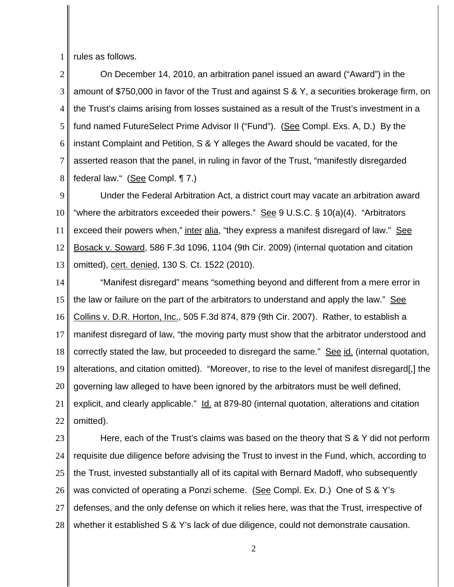1 rules as follows.

2 3 4 5 6 7 8 On December 14, 2010, an arbitration panel issued an award ("Award") in the amount of \$750,000 in favor of the Trust and against S & Y, a securities brokerage firm, on the Trust's claims arising from losses sustained as a result of the Trust's investment in a fund named FutureSelect Prime Advisor II ("Fund"). (See Compl. Exs. A, D.) By the instant Complaint and Petition, S & Y alleges the Award should be vacated, for the asserted reason that the panel, in ruling in favor of the Trust, "manifestly disregarded federal law." (See Compl. ¶ 7.)

9 10 11 12 13 Under the Federal Arbitration Act, a district court may vacate an arbitration award "where the arbitrators exceeded their powers." See 9 U.S.C. § 10(a)(4). "Arbitrators exceed their powers when," inter alia, "they express a manifest disregard of law." See Bosack v. Soward, 586 F.3d 1096, 1104 (9th Cir. 2009) (internal quotation and citation omitted), cert. denied, 130 S. Ct. 1522 (2010).

14 15 16 17 18 19 20 21 22 "Manifest disregard" means "something beyond and different from a mere error in the law or failure on the part of the arbitrators to understand and apply the law." See Collins v. D.R. Horton, Inc., 505 F.3d 874, 879 (9th Cir. 2007). Rather, to establish a manifest disregard of law, "the moving party must show that the arbitrator understood and correctly stated the law, but proceeded to disregard the same." See id. (internal quotation, alterations, and citation omitted). "Moreover, to rise to the level of manifest disregard[,] the governing law alleged to have been ignored by the arbitrators must be well defined, explicit, and clearly applicable." Id. at 879-80 (internal quotation, alterations and citation omitted).

23 24 25 26 27 28 Here, each of the Trust's claims was based on the theory that S & Y did not perform requisite due diligence before advising the Trust to invest in the Fund, which, according to the Trust, invested substantially all of its capital with Bernard Madoff, who subsequently was convicted of operating a Ponzi scheme. (See Compl. Ex. D.) One of S & Y's defenses, and the only defense on which it relies here, was that the Trust, irrespective of whether it established S & Y's lack of due diligence, could not demonstrate causation.

2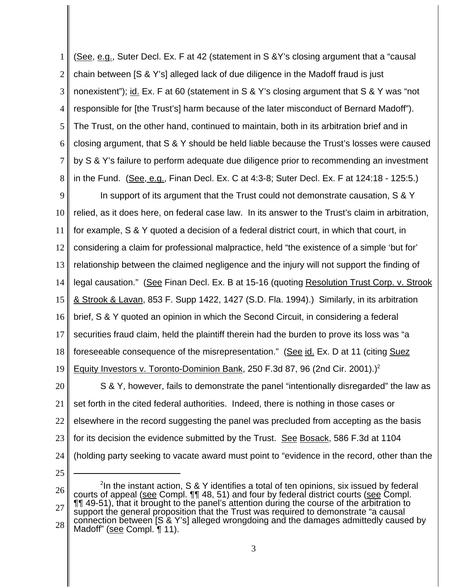1 2 3 4 5 6 7 8 (See, e.g., Suter Decl. Ex. F at 42 (statement in S & Y's closing argument that a "causal chain between [S & Y's] alleged lack of due diligence in the Madoff fraud is just nonexistent"); id. Ex. F at 60 (statement in S & Y's closing argument that S & Y was "not responsible for [the Trust's] harm because of the later misconduct of Bernard Madoff"). The Trust, on the other hand, continued to maintain, both in its arbitration brief and in closing argument, that S & Y should be held liable because the Trust's losses were caused by S & Y's failure to perform adequate due diligence prior to recommending an investment in the Fund. (See, e.g., Finan Decl. Ex. C at 4:3-8; Suter Decl. Ex. F at 124:18 - 125:5.)

9 10 11 12 13 14 15 16 17 18 19 20 21 22 In support of its argument that the Trust could not demonstrate causation, S & Y relied, as it does here, on federal case law. In its answer to the Trust's claim in arbitration, for example, S & Y quoted a decision of a federal district court, in which that court, in considering a claim for professional malpractice, held "the existence of a simple 'but for' relationship between the claimed negligence and the injury will not support the finding of legal causation." (See Finan Decl. Ex. B at 15-16 (quoting Resolution Trust Corp. v. Strook & Strook & Lavan, 853 F. Supp 1422, 1427 (S.D. Fla. 1994).) Similarly, in its arbitration brief, S & Y quoted an opinion in which the Second Circuit, in considering a federal securities fraud claim, held the plaintiff therein had the burden to prove its loss was "a foreseeable consequence of the misrepresentation." (See id. Ex. D at 11 (citing Suez Equity Investors v. Toronto-Dominion Bank, 250 F.3d 87, 96 (2nd Cir. 2001).)<sup>2</sup> S & Y, however, fails to demonstrate the panel "intentionally disregarded" the law as set forth in the cited federal authorities. Indeed, there is nothing in those cases or elsewhere in the record suggesting the panel was precluded from accepting as the basis

- 23 for its decision the evidence submitted by the Trust. See Bosack, 586 F.3d at 1104
- 24 (holding party seeking to vacate award must point to "evidence in the record, other than the
- 25

<sup>26</sup> 27 28  $2$ In the instant action, S & Y identifies a total of ten opinions, six issued by federal courts of appeal (see Compl. ¶¶ 48, 51) and four by federal district courts (see Compl. ¶¶ 49-51), that it brought to the panel's attention during the course of the arbitration to support the general proposition that the Trust was required to demonstrate "a causal connection between [S & Y's] alleged wrongdoing and the damages admittedly caused by Madoff" (see Compl. ¶ 11).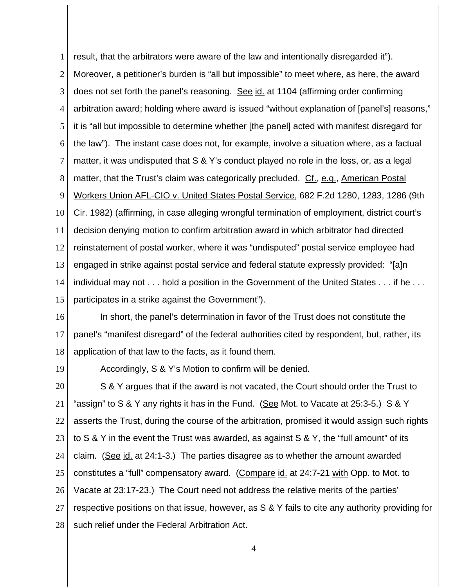1 2 3 4 5 6 7 8 9 10 11 12 13 14 15 result, that the arbitrators were aware of the law and intentionally disregarded it"). Moreover, a petitioner's burden is "all but impossible" to meet where, as here, the award does not set forth the panel's reasoning. See id. at 1104 (affirming order confirming arbitration award; holding where award is issued "without explanation of [panel's] reasons," it is "all but impossible to determine whether [the panel] acted with manifest disregard for the law"). The instant case does not, for example, involve a situation where, as a factual matter, it was undisputed that S & Y's conduct played no role in the loss, or, as a legal matter, that the Trust's claim was categorically precluded. Cf., e.g., American Postal Workers Union AFL-CIO v. United States Postal Service, 682 F.2d 1280, 1283, 1286 (9th Cir. 1982) (affirming, in case alleging wrongful termination of employment, district court's decision denying motion to confirm arbitration award in which arbitrator had directed reinstatement of postal worker, where it was "undisputed" postal service employee had engaged in strike against postal service and federal statute expressly provided: "[a]n individual may not . . . hold a position in the Government of the United States . . . if he . . . participates in a strike against the Government").

- 16 17 18 In short, the panel's determination in favor of the Trust does not constitute the panel's "manifest disregard" of the federal authorities cited by respondent, but, rather, its application of that law to the facts, as it found them.
- 19

Accordingly, S & Y's Motion to confirm will be denied.

20 21 22 23 24 25 26 27 28 S & Y argues that if the award is not vacated, the Court should order the Trust to "assign" to S & Y any rights it has in the Fund. (See Mot. to Vacate at 25:3-5.) S & Y asserts the Trust, during the course of the arbitration, promised it would assign such rights to S & Y in the event the Trust was awarded, as against S & Y, the "full amount" of its claim. (See id. at 24:1-3.) The parties disagree as to whether the amount awarded constitutes a "full" compensatory award. (Compare id. at 24:7-21 with Opp. to Mot. to Vacate at 23:17-23.) The Court need not address the relative merits of the parties' respective positions on that issue, however, as S & Y fails to cite any authority providing for such relief under the Federal Arbitration Act.